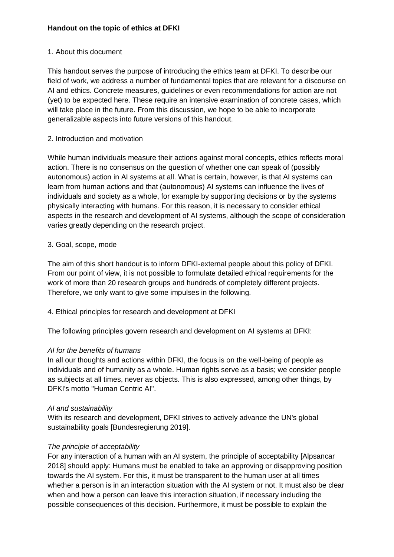# **Handout on the topic of ethics at DFKI**

#### 1. About this document

This handout serves the purpose of introducing the ethics team at DFKI. To describe our field of work, we address a number of fundamental topics that are relevant for a discourse on AI and ethics. Concrete measures, guidelines or even recommendations for action are not (yet) to be expected here. These require an intensive examination of concrete cases, which will take place in the future. From this discussion, we hope to be able to incorporate generalizable aspects into future versions of this handout.

### 2. Introduction and motivation

While human individuals measure their actions against moral concepts, ethics reflects moral action. There is no consensus on the question of whether one can speak of (possibly autonomous) action in AI systems at all. What is certain, however, is that AI systems can learn from human actions and that (autonomous) AI systems can influence the lives of individuals and society as a whole, for example by supporting decisions or by the systems physically interacting with humans. For this reason, it is necessary to consider ethical aspects in the research and development of AI systems, although the scope of consideration varies greatly depending on the research project.

### 3. Goal, scope, mode

The aim of this short handout is to inform DFKI-external people about this policy of DFKI. From our point of view, it is not possible to formulate detailed ethical requirements for the work of more than 20 research groups and hundreds of completely different projects. Therefore, we only want to give some impulses in the following.

4. Ethical principles for research and development at DFKI

The following principles govern research and development on AI systems at DFKI:

# *AI for the benefits of humans*

In all our thoughts and actions within DFKI, the focus is on the well-being of people as individuals and of humanity as a whole. Human rights serve as a basis; we consider people as subjects at all times, never as objects. This is also expressed, among other things, by DFKI's motto "Human Centric AI".

#### *AI and sustainability*

With its research and development, DFKI strives to actively advance the UN's global sustainability goals [Bundesregierung 2019].

# *The principle of acceptability*

For any interaction of a human with an AI system, the principle of acceptability [Alpsancar 2018] should apply: Humans must be enabled to take an approving or disapproving position towards the AI system. For this, it must be transparent to the human user at all times whether a person is in an interaction situation with the AI system or not. It must also be clear when and how a person can leave this interaction situation, if necessary including the possible consequences of this decision. Furthermore, it must be possible to explain the